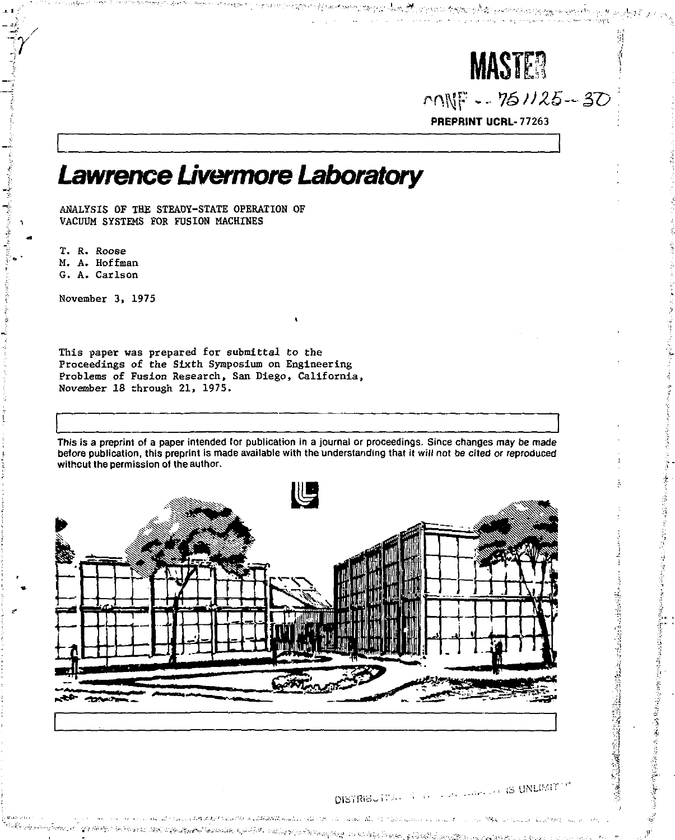

 $M_{\text{N}} = 761/25 - 30$ 

PREPRINT UCRL-77263

# *Lawrence Livermore Laboratory*

1 ANALYSIS OF THE STEADY-STATE OPERATION OF VACUUM SYSTEMS FOR FUSION MACHINES

> T. R. Roose M. A. Hoffman G. A. Carlson

( November 3, 1975

This paper was prepared for submittal to the Proceedings of the Sixth Symposium on Engineering Problems of Fusion Research, San Diego, California, November 18 through 21, 1975.

This is a preprint of a paper intended for publication in a journal or proceedings. Since changes may be made before publication, this preprint is made available with the understanding that it will not be cited or reproduced without the permission of the author.



**NATIONAL PROPERTY AND DESCRIPTIONS OF A REAL PROPERTY OF A REAL PROPERTY.** 

awitana. Bruskut Gerealtia iz kružiten

## DISTRIBUTION of the second control IS UNLIMIT and the striped company of the second Margaritan

100446 Samen (440 US)

Separate Separate Separate Separate Separate Separate Separate Separate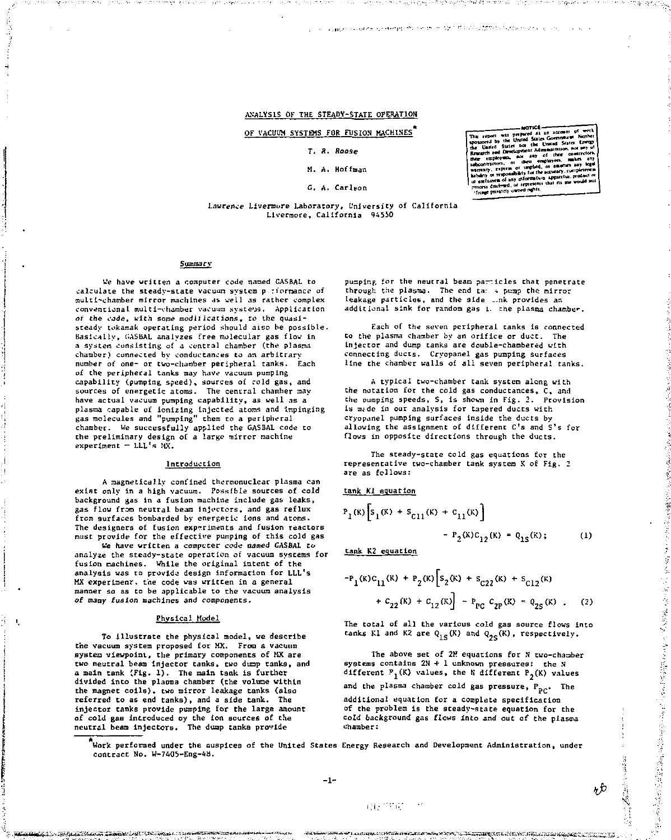ANALYSIS OF THE STEADY-STATE OPERATION

OF VACUUM SYSTEMS FOR FUSION MACHINES

#### $T$ ,  $R$ ,  $R$

#### M. A. Hoffman

#### G. A. Carlson

The report was prepared at an an as the United States Gove<br>Uasted States now the United<br>State and Development Administration sponsored by **The Contract of the Contract of the Contract of the Contract of the Contract of the Contract of the Contract o**  $-$ ≍ abcontractors, or there en<br>intrinsity, express or implied,<br>intellig or responsibility for the<br>international of any information<br>enoris distinged, or represent<br>"linge prostely unned rights,

**ANTICE** 

#### Lawrence Livermore Laboratory, University of California Livermore, California 94550

#### Summary

We have written a computer code named GASBAL to calculate the steady-state vacuum system p riormance of multi-chamber mirror machines as vell as rather complex conventional multi-chamber vacuum systems. Application of the cade, with some modifications, to the quasisteady tokamak operating period should also be possible. Basically, GASBAL analyzes free molecular gas flow in a system consisting of a central chamber (the plasma chamber) connected by conductances to an arbitrary number of one- or two-chamber peripheral tanks. Each of the peripheral tanks may have vacuum pumping capability (pumping speed), sources of cold gas, and<br>sources of energetic atoms. The central chamber may have actual vacuum pumping capability, as well as a plasma capable of ionizing injected atoms and impinging<br>gas molecules and "pumping" them to a peripheral chamber. We successfully applied the GASBAL code to the preliminary design of a large mirror machine  $experiment = LLL's MX.$ 

#### Introduction

A magnetically confined thermonuclear plasma can exist only in a high vacuum. Possible sources of cold background was in a fusion machine include gas leaks. gas flow from neutral beam injectors, and gas reflux from surfaces bombarded by energetic ions and atoms. The designers of fusion experiments and fusion reactors must provide for the effective pumping of this cold gas

We have written a computer code named GASBAL to analyze the steady-state operation of vacuum systems for fusion machines. While the original intent of the analysis was to provide design information for LLL's MX experiment, the code was written in a general manner so as to be applicable to the vacuum analysis of many fusion machines and components.

#### Physical Model

To illustrate the physical model, we describe the vacuum system proposed for MX. From a vacuum system viewpoint, the primary components of MX are two neutral beam injector tanks, two dump tanks, and a main tank (Fig. 1). The main tank is further divided into the places chamber (the volume within the magnet coils), two mirror leakage tanks (also referred to as end tanks), and a side tank. The injector tanks provide pumping for the large amount of cold gas introduced by the ion sources of the neutral beam injectors. The dump tanks provide

contra la constitución de agregada el terrorista de la correla

pumping for the neutral beam particles that penetrate through the plasma. The end tan a pump the mirror leakage particles, and the side ... nk provides an additional sink for random gas i. the plasma chamber.

.<br>La consegue de la differencia de la proprieta de la constitución de la final de la Caracción de Caracción de S

Each of the seven peripheral tanks is connected to the plasma chamber by an orifice or duct. The intector and dump tanks are double-chambered with connecting ducts. Cryopanel gas pumping surfaces<br>line the chamber walls of all seven peripheral tanks.

A typical two-chamber tank system along with the notation for the cold gas conductances,  $\bar{c}$ , and the pumping speeds, S, is shown in Fig. 2. Provision is made in our analysis for tapered ducts with cryopanel pumping surfaces inside the ducts by allowing the assignment of different C's and S's for flows in opposite directions through the ducts.

The steady-state cold gas equations for the representative two-chamber tank system X of Fig. 2  $are$  as follows:

tank Kl equation

$$
P_1(k)\left[s_1(k) + s_{c11}(k) + c_{11}(k)\right] - P_2(k)c_{12}(k) - q_{15}(k); \qquad (1)
$$

Lank K2 equation

 $\mathbf{Q}_{\mathbf{Q}}^{\mathrm{max}}$  and  $\mathbf{Q}_{\mathbf{Q}}^{\mathrm{max}}$ 

$$
+ P_1(k)C_{11}(k) + P_2(k) \Big[ s_2(k) + s_{C22}(k) + s_{C12}(k) + C_{12}(k) + C_{22}(k) + C_{12}(k) \Big] - P_{PC} C_{2P}(k) + Q_{25}(k) \quad .
$$
 (2)

The total of all the various cold gas source flows into tanks Kl and K2 are  $Q_{1S}(K)$  and  $Q_{2S}(K)$ , respectively.

The above set of 2M equations for N two-chamber systems contains 2N + 1 unknown pressures: the N different  $P_1(K)$  values, the N different  $P_2(K)$  values and the plasma chamber cold gas pressure,  $P_{PC}$ . The additional equation for a complete specification of the problem is the steady-state equation for the cold background gas flows into and out of the plasma  $chamber:$ 

waa we werd in the management of the construction of the construction

.<br>Work performed under the auspices of the United States Energy Research and Development Administration, under contract No. W-7405-Eng-48.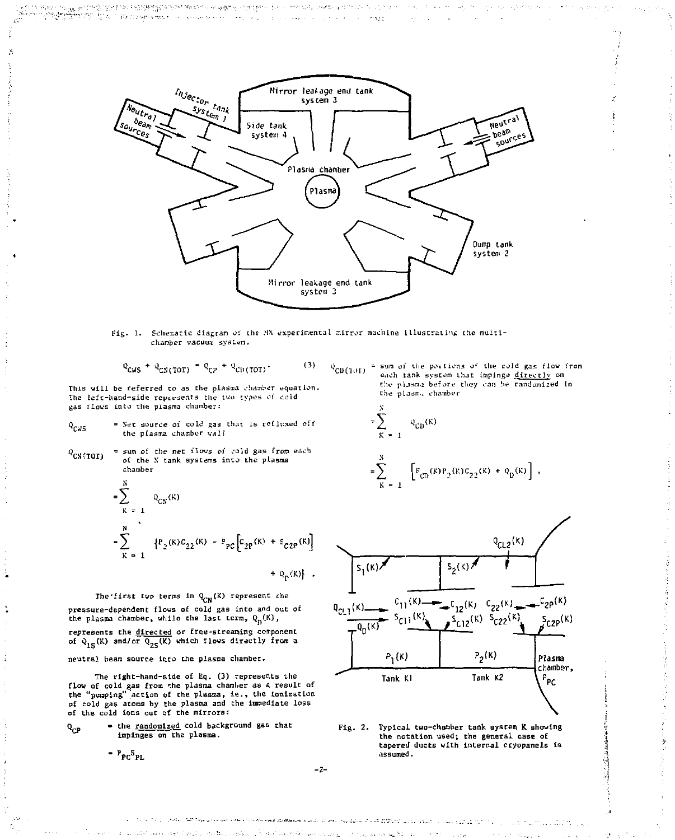

 $\sim$   $\lesssim$ 

Fig. 1. Schematic diagram of the MX experimental mirror machine illustrating the multichamber vacuum system.

$$
Q_{CWS} + Q_{CNCTOT} = Q_{CP} + Q_{CDCTOT} \tag{3}
$$

This will be referred to as the plasma chamber equation. The left-hand-side represents the two types of cold gas flows into the plasma chamber:

portion and the complete the complete of the complete state of the complete that the complete state of the complete of the complete of the complete of the complete of the complete of the complete of the complete of the com

The Contract of the Company of the Company of the Company of the Company of the Company of the Company of the Company of the Company of the Company of the Company of the Company of the Company of the Company of the Company

h.

- = Net source of cold gas that is refluxed off  $Q_{CMS}$ the plasma chamber wall
- = sum of the net flows of cold gas from each  $Q_{\text{CN (TOT)}}$ of the N tank systems into the plasma chamber

$$
= \sum_{K=1}^{N} Q_{CN}(K)
$$
  
= 
$$
\sum_{K=1}^{N} \{P_2(K)C_{22}(K) - P_{PC}\left[C_{2P}(K) + S_{C2P}(K)\right] + Q_p(K)\}.
$$

The first two terms in  $Q_{CN}(K)$  represent che pressure-dependent flows of cold gas into and out of the plasma chamber, while the last term, Q. (K),

represents the directed or free-streaming component  
of 
$$
\varphi_{1S}(K)
$$
 and/or  $\overline{Q_{2S}(K)}$  which flows directly from a

neutral beam source into the plasma chamber.

The right-hand-side of Eq. (3) represents the flow of cold gas from the plasma chamber as a result of<br>the "pumping" action of the plasma, ie., the ionization of cold gas atoms by the plasma and the immediate loss of the cold ions out of the mirrors:

- the <u>randomized</u> cold background gas that<br>impinges on the plasma.  $Q_{CP}$ 

$$
= P_{PC} S_{PL}
$$

 $Q_{CD(101)}$  = sum of the portions of the cold gas flow from each tank system that impinge directly on the plasma before they can be randomized in the plasm. chamber

 $+ q_p(k)$ ,

医腹膜炎 经经营管理 医阿拉伯氏征

$$
\sum_{K=1}^{N} q_{CD}(K)
$$
  

$$
\sum_{K=1}^{N} \int [F_{CD}(K)P_2(K)C_{22}(K)]
$$



Fig. 2. Typical two-chamber tank system K showing the notation used; the general case of tapered ducts with internal cryopanels is assumed.

 $-2-$ 

Soften AASTROLL Company and a first state and position of the company of the company of the a caracter and recommended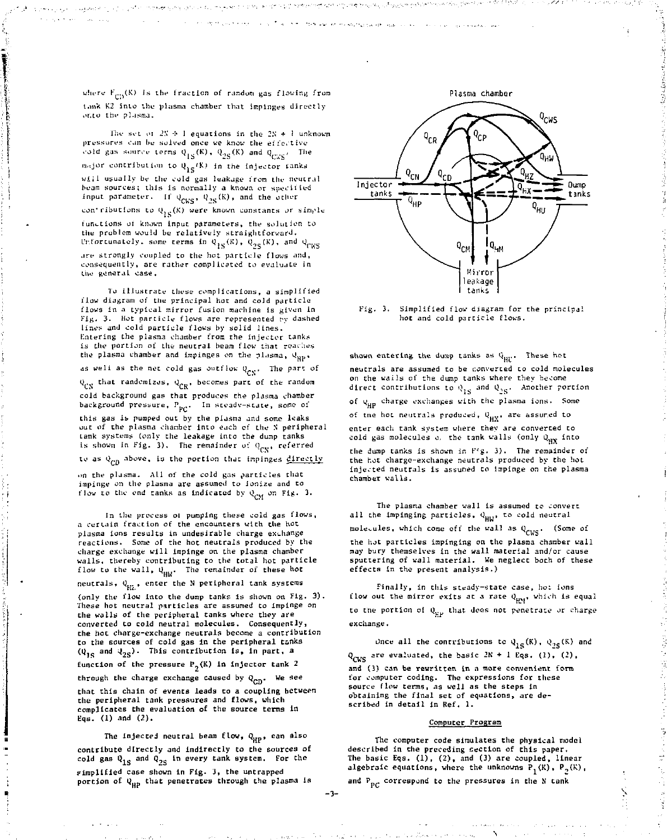where  $F_{\rm{em}}(K)$  is the fraction of random gas flowing from tank K2 into the plasma chamber that impinges directly<br>onto the plasma.

lhe set of 2N → 1 **equations in the 2N +** Eunknown pressures can be solved once we know the effective cold gas source terms  $Q_{1S}^-(K)$ ,  $Q_{2S}^-(K)$  and  $Q_{C\bar{K}S}^+$ . The , major contribution to Q, (K) in the injector fanks wiil usually be the cold gas leakage from the neutral beam sources; this is normally a known or specified input parameter. If  $Q_{\rm{spec}},~Q_{\rm{ac}}(\rm{K})$ , and the other con'ributions to  $\mathbf{\psi}_{\text{IS}}(\mathsf{K})$  were known constants or simple  $\mathbf{K}$ 

lunt-tions oi known input parameters, the solution to the problem would be relatively straightforward. Unfortunately, some terms in  $Q_{1S}^+(K)$ ,  $Q_{2S}^-(K)$ , and  $Q_{CKS}^-(K)$ are strongly coupled to the hot particle flows and, consequently, are rather complicated co evaluate in the general case.

To illustrate these complications, a simplified flow diagram of the principal hot and cold particle flows in a typical mirror fusion machine is given in Fig. 3. Hot particle flows are represented by dashed lines and cold particle flows by solid lines. Kntering the plasma chamber from the injector tanks is the portion of the neutral beam flow that reaches the plasma chamber and impinges on the plasma,  $q_{\text{HP}}$ ,

as well as the net cold gas outflow  $Q_{CN}$ . The part of

 $Q_{CN}$  that randomizes,  $Q_{CR}$ , becomes part of the random

cold background gas that produces the plasma chamber background pressure,  $P_{PC}$ . In steady-state, some of

this gas is pumped out by the plasma and some leaks out of the plasma chamber into each of the S peripheral ank systems (only the leakage into the dump tanks is shown in Fig. 3). The remainder of  $0_{\text{CN}}$ , referred

to as  $q_{CD}$  above, is the portion that impinges directly

on the plasma. All of the cold gas particles that impinge on the plasma are assumed to ionize and to flow to the end tanks as indicated by  $Q_{CM}$  on Fig. 3.

In the process oi pumping these cold gas flows, a certain fraction of the encounters with the hot plasma ions results in undesirable charge ex-hange reactions. Some of the hot neutrals produced by the charge exchange will impinge on the plasma chamber walls, thereby contributing to the total hot particle flow to the wall,  $Q_{HW}$ . The remainder of these hot

neutrals,  $Q_{HZ}$ , enter the N peripheral tank systems

(only the flow into the dump tanks is shown on Fig. 3). These hot neutral particles are assumed to impinge on the walls of the peripheral tanks where they are converted to cold neutral molecules. Consequently, the hot charge-exchange neutrals become a contribution to the sources of cold gas in the peripheral t&nks  $(Q_{1S}$  and  $Q_{2S})$ . This contribution is, in part, a

function of the pressure  $P_2(K)$  in injector tank 2

through the charge exchange caused by  $Q_{CD}$ . We see that this chain of events leads to a coupling between the peripheral tank pressures and flows, which complicates the evaluation of the source terms in Eqs. (1) and (2).

The injected neutral beam flow,  $Q_{HP}$ , can also contribute directly and indirectly to the sources of cold gas  $Q_{1S}$  and  $Q_{2S}$  in every tank system. For the simplified case shown in Fig. 3, the untrapped portion of Q<sub>HP</sub> that penetrates through the plasma is





3. Simplified flow diagram for the principal hot and cold particle flows.

shown entering the dump tanks as  $Q_{\rm HF}$ . These hot neutrals are assumed to be converted to cold molecules on the wails of the dump tanks where they become direct contributions to  $\varphi_{1S}$  and  $\varphi_{2S}$ . Another portion of  $q_{HP}$  charge exchanges with the plasma ions. Some of tne hot neutrals produced, Q<sub>uy</sub>, are assumed to enter each tank system where they are converted cold gas molecules o. the the dump tanks is shown in F'g. 3). The remainder of the hot charge-exchange neutrals produced by the hot injected neutrals is assumed to Impinge on the plasma chamber walls.

The plasma chamber wall is assumed to convert all the impinging particles, Q<sub>HW</sub>, to cold neutral olecules, which come off the wall as  $Q_{CKS}$ . (Some of the not particles impinging on the plasma chamber wall may bury themselves in the wall material and/or cause sputtering of wall material. We neglect both of these effects in the present analysis.)

Finally, in this steady-state case, hot ions flow out the mirror exits at a rate  $\theta_{\rm H M}$ , which is equal to the portion of  $\theta_{\rm co}$  that does not penetrate or charge exchange.

Once all the contributions to  $Q_{1S}(K)$ ,  $Q_{2S}(K)$  and  $\Omega$  are evaluated, the basic  $2K + 1$  Eqs. (1), (2).

and (3) can be rewritten in a more convenient form for computer coding. The expressions for these source flow terms, as well as the steps in obtaining the final set of equations, are de scribed In detail in Ref. 1.

### Computer Program

The computer code simulates the physical model described in the preceding section of this paper. The basic Eqs. (1), (2), and (3) are coupled, linear algebraic equations, where the unknowns  $P_1(K)$ ,  $P_2(K)$ ,

and  $P_{\text{pc}}$  correspond to the pressures in the N tank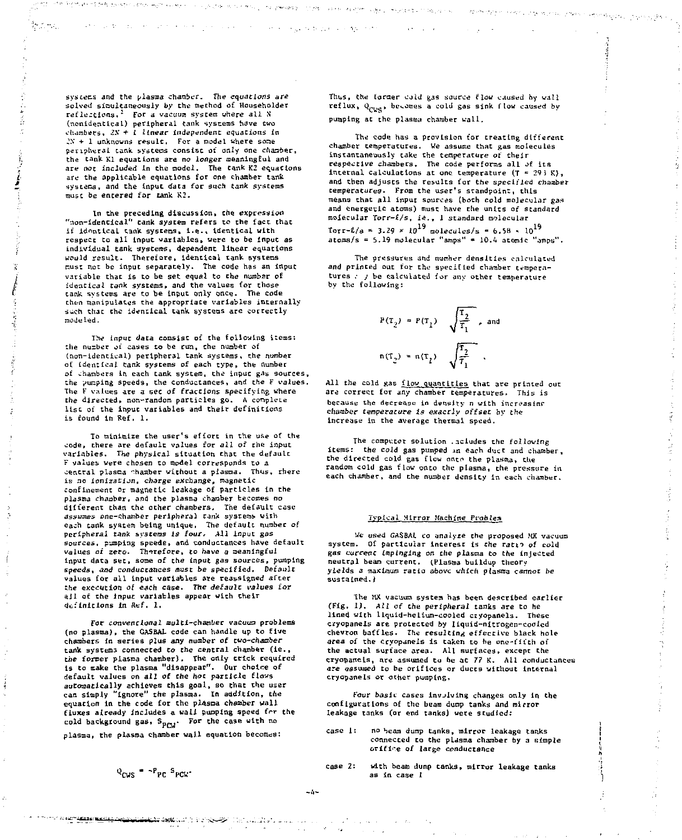systems and the plasma chamber. The equations are solved simultaneously by the method of Householder reflections.<sup>2</sup> For a vacuum system where all N (nonidentical) peripheral tank systems have two chambers, 2N + 1 linear independent equations in »N + 1 unknowns result. For a model where soae peripheral tank systems consist of only one chanter, the tank Kl equations are no longer meaningful and are not included In the model. The tank K2 equations are the applicable equations for one chamber tank systecs, and the input data for such tank systems must be entered for tank K2.

34. 法一件基本问题 一元以为1000 (金融的) 磁光性

In the preceding discussion, the expression "non-identical" tank system refers to the fact that if identical tank systecss, i.e.. identical with respect to all input variables, were to be input as individual tank systems, dependent linear equations would result. Therefore, identical tank systems nust not be input separately. The code has an input variable that is to be set equal to the number of identical tank systems, and the values for those tank, systems are to be input only once. The code chen manipulates the appropriate variables internally such that the identical tank systems are correctly modeled.

The input data consist of the following items: the number »ji cases to be run, the number of (non-identical) peripheral tank systems, the number of identical tank systems of each type, the number of chambers in each tank system, the input gas sources, the jumping speeds, the conductances, and the F values. The F values are *a* sec of fractions specifying where *the* directed, non-random particles go. A complete list of the input variables and their definitions is found in Ref. 1.

To minimize the user's effort in the use of the code, there are default values for all *of* the input variables. The physical situation that the default F values were chosen to model corresponds to a central plasma -haaber without a plasma. Thus, there is no Ionization, charge exchange, magnetic confinement or magnetic leakage of particles in the plasma chamber, and the plasma chamber becomes no different than the other chambers. The default case assumes one-chamber peripheral tank systems with each tank system being unique, The default number of peripheral tank systems Is four. All input gas sources, pumping speeds, and conductances have default values of zeto. Therefore, to have a meaningful input data set, some of the input gas sources, pumping speeds, and conductances must be specified. Default values for all input variables are reassigned after the execution of each case. The default values for ajl of the Input variables appear with their definitions in Ref. 1.

For conventional multi-chamber vacuum problems (no plasma), the GASBAL code can handle up to five chambers in series plus any number of two-chamber tank systems connected *to the* central chamber (ie,, the former plasma chamber). The only trick required is to make the plasma "disappear". Our choice of default values on all of the hot particle flows automatically achieves this goal, so that the user can simply "ignore" the plasma. In addition, the equation in the code for the pl4sma chamber wall fluxes already includes s wall pumping speed frr the cold background gas, S<sub>PCM</sub>. For the case with no

plasma, the plasma chamber wall equation becomes:

 $Q_{\text{PUC}} = \gamma P_{\text{PP}} / S_{\text{PCU}}$ 

*CONTRACTMENTAL PARK* 

Thus, the former cold gas source flow caused by wall reflux,  $Q_{CWS}$ , becomes a cold gas sink flow caused by pumping at the plasma chamber wall.

to percent in the lives again

and the first product of the contract and approach and their

The code has a provision for treating different chamber temperatures. We assume that gas molecules instantaneously take the temperature of their respective chambers. The code performs all of its internal calculations at one temperature (T = 293 K), and then adjusts the results for the specified chamber temperatures- From the user's standpoint, this means that all input sources (both cold molecular gas and energetic atoms) must have the units of standard molecular Torr-£/s, ie., 1 standard molecular  $Torr-1/s = 3.29 \times 10^{19}$  molecules/s = 6.58  $\times 10^{19}$ atoms/s = 5.19 molecular "amps" » 10.4 atomic "amps"

The pressures and numher densities calculated and printed out for the specified chamber temperatures . ; be calculated for any other temperature by the following:

$$
P(T_2) = P(T_1) \sqrt{\frac{T_2}{T_1}}, \text{ and}
$$
  

$$
n(T_2) = n(T_1) \sqrt{\frac{T_2}{T_1}}.
$$

All the cold gas flow quantities that are printed out are correct for any chamber temperatures. This is because the decrease in density n with increasing chamber temperature is exactly offset by the increase in the average thermal speed.

The computer solution .acludes the following items: the cold gas pumped m each duct and chamber, the directed cold gas flow onto the plasma, the random cold gas flow onto the plasma, the pressure in each chamber, and the number density in each chamber.

#### Typical Mirror Machine Problem

Ue used GASBAL to analyze the proposed MX vacuum system. Of particular interest is the ratio of cold gas current Impinging on the plasma to the injected neutral beam current. (Plasma buildup theory yields a maximum ratio above which plasma cannot be sustained.)

The MX vacuum system has been described earlier (Fig, 1). All of the peripheral tanks are to be lined with liquid-helium-cooled cryopanels. These cryopanels are protected by liquid-nitrogen-cooled chevron baffles. The resulting effective black hole area of the cryopanels is taken to be one-fifth of the actual surface area. All surfaces, except the cryoftanels, are assumed to be at *7?* K. Ail conductances are assumed to be orifices or ducts without internal ctyopanels or other pumping,

Four basic cases invjlvlng changes only in the configurations of the beam dump tanks and mirror leakage tanks (ar end tanks) were studied:

- case 1: no beam dump tanks, mirror leakage tanks connected to the plasma chamber by a simple orifire of large conductance
- case 2: with beam dump tanks, mirror leakage tanks as in case 1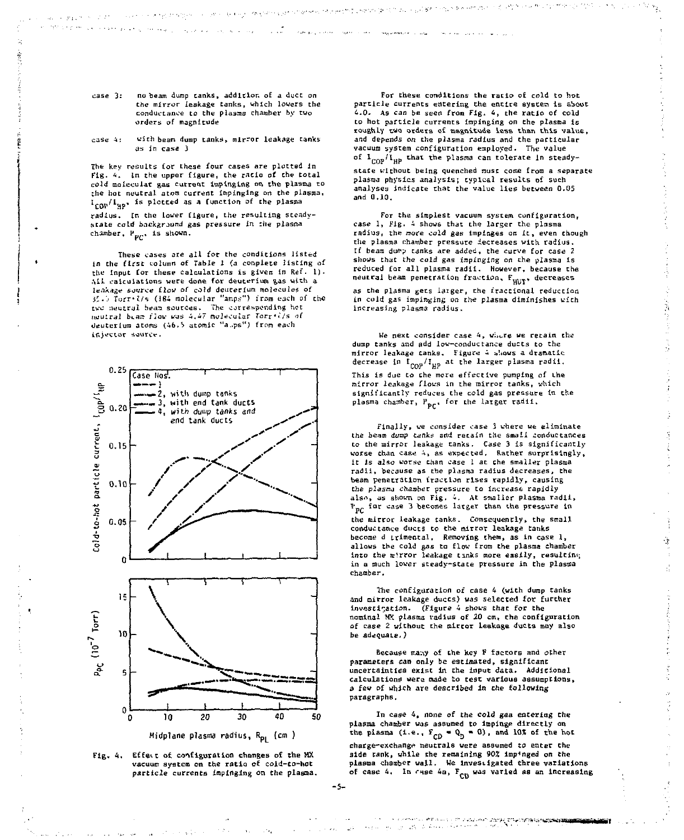$case 3:$ no beam dump tanks, addition of a duct on the mirror leakage tanks, which lowers the conductance to the plasma chamber by two orders of magnitude

**Contact Construction** 

Country of Applications

 $\label{eq:1} \omega_{\gamma} \rightarrow \left( p_{\rm 2,1} \ll \gamma \right) \left( \gamma_{\gamma}^{\rm 2,0} \gamma_{\gamma}^{\rm 2,0} \right)$ 

interview as in a couple of

#### $case 4$ with beam dump tanks, mirror leakage tanks is in case *i*

The key results for these four cases are plotted in Fig. 4. In the upper figure, the ratio of the total *GQX4* molecular gas current impinging on the plasma to the hot neutral atom current impinging on the plasma.  $I_{\text{CDP}}/I_{\text{MP}}$ , is plotted as a function of the plasma radius, in the lower figure, the resulting steadystate cold background *gas* pressure *in* the plasna chamber,  $P_{pr}$ , is shown.

These cases are all for the conditions listed in the first column of Table 1 (a complete listing of the input for these calculations is given in Ref. 1). All calculations were done for deuterium gas with a leakage source flow of co)d deuterium molecules of *i'.'j Torr-l/n* (184 molecular "amps") irons each of the *ivc* neutral beara sources- The corresponding hot mju:raJ bt3.T5 *flaw* was 4,«7 moJ=cuUr I'orr\*'Vs of deuterium atoms (46.5 atomic "a.ps") from each ir.jwcujr source.



**Mjdplane plasma radius, Rp. (cm )** 



For these conditions the ratio of cold to hoc particle currents entering Che entire systen is about 4.0. As can be seen from Fig. 4, the ratio of cold to hot particle currents impinging on the plasma is roughly two orders of magnitude less than this value, and depends on the plasma radius and the particular<br>vacuum system configuration employed. The value vacuum system configuration employed. The value<br>of 1<sub>COP</sub>/I<sub>HP</sub> that the plasma can tolerate in steady-

state without being quenched must come from a separate plassa physics analysis; typical results of such analyses indicate that the value lies between 0.05 and 0.19,

For the simplest vacuum system configuration, case 1, Fig. 4 shows that the larger the plasma radius, the more cold gas impinges on it, even though the plasma chamber pressure iecreases with radius. tf beam du\*p tanks are added, the curve for case *2*  shows that the *cold* gas impinging on the plasma is reduced for all plasma radii. However, because the neutral beam penetration fraction, F<sub>HUIT</sub>, decreases

as the plasma gets iaiger, the fractional reduction in *cold* gas impinging *on the* plasma diminishes with increasing plasma radius.

We next consider case 4, where we retain the dump tanks and add low-conductance ducts to the mirror leakage tanks. Figure 4 shows a dramatic decrease in  $\iota_{\mathsf{COP}}/\iota_{\mathsf{HP}}$  at the larger plasma radii This is due to the mere effective pumping of the mirror leakage flows in the mirror tanks, which significantly reduces the cold gas pressure in the plasma chamber, P<sub>pr</sub>, for the larger radii.

Finally, we consider case 3 where we eliminate the beam dump tanks and retain the small conductances to the mirror leakage tanks. Case 3 is significantly worse than case 4, as expected. Rather surprisingly, it is also worse than case 1 at che smaller plasma radii, because as the plasma radius decreases, the beam penetration fraction rises rapidly, causing the *plasnj* chamber pressure to increase rapidly also, as shown on Fig. 4. At smaller plasma radii, P<sub>PC</sub> for case 3 becomes larger than the pressure in

the mirror leakage tanks. Consequently, the small conductance ducts to the mirror leakage tanks become d trimental. Removing them, as in case 1 allows the cold gas ta flow from the plasma chamber into the- mirror leakage tanks more easily, resulting in a much lower steady-state pressure in the plasma chamber.

ă

The configuration of case 4 (with dump tanks and mirror leakage ducts) was selected for further Investigation. (Figure 4 shows that for the nominal MX plasma radius of 20 *cmt* che configuration of case 2 without the taircar leakage ducts may also be adequate.)

Because many of the key F factors and other parameters can only be estimated, significant uncertainties exist in the input data. Additional Calculations were made to *test* various assumptions, a few of which are described in the following paragraphs.

In case 4, none of the cold gaa entering the plasma chamber was assumed to impinge directly on the plasma  $(i.e., F_{CD} = Q_D = 0)$ , and 10X of the hot charge-exchange neutrals were assumed to enter the side tank, while the remaining 90% imp-'nged on the plasma chamber wall. He investigated three variations of case 4. In case 4a, F<sub>CD</sub> was varied as an increasing

en alle en deze alle zone mentalistiko possibilita.<br>Linux della contrata dell'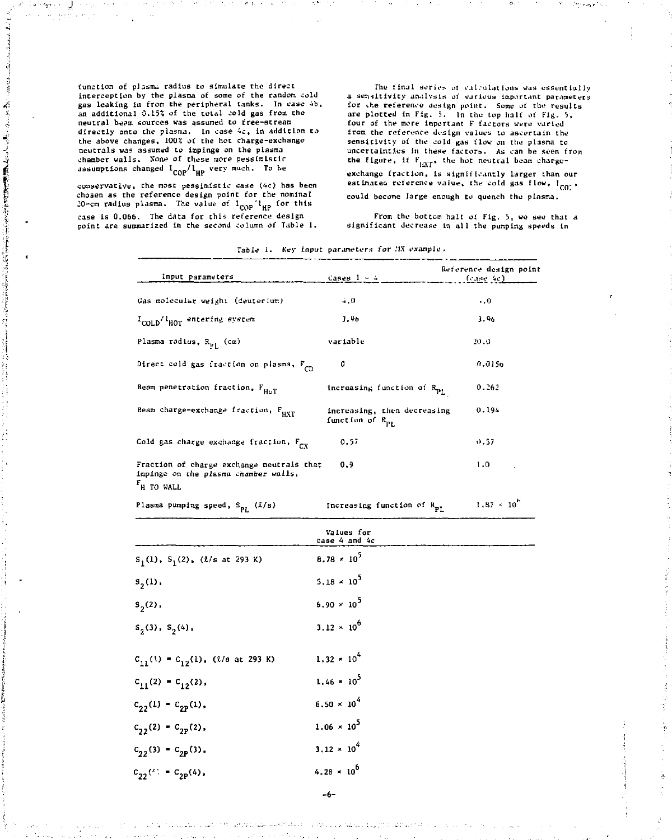function of plasma radius to simulate the direct interception by the plasma of some of the random cold gas leaking in from the peripheral tanks. In case 4b, an additional 0.15% of the total cold gas from the neutral beam sources was assumed to free-streata directly onto the plasma. In case 4c, in addition to the above changes, *10QZ* of the hot charge-exchange neutrals was assumed to impinge on the plasma chamber walls. None of these more pessimistir assumptions changed  $t_{COP}/t_{HP}$  very much. To be

ال ۱۰۰٬۰۰۰ on y  $\mathcal{A}=\frac{1}{2} \mathcal{A} \mathcal{A}^{\dagger} \mathcal{A}^{\dagger}$  , and

SPECTROSTER TELEVISION の「APP AS THAT THE TIME TO THAT THE SERVED ASSOCIATES AND THE THE

Ã

conservative, the most pessimistic case (4c) has been chosen as the reference design point for the nominal 20-cm radius plasma. The value of l<sub>eop</sub> l<sub>up</sub> for this case is 0.066. The data for this reference design point are summarized in the second column *of* Table 1.

The final series of calculations was essentially a sensitivity analysis of various important parameters for the reference design point. Some of the results are plotted in Fig. 3. In the top half of Pig. 5, four of the more important F factors were varied from the reference design values to ascertain the sensitivity of the cold gas flow on the plasma to uncertainties in these factors. As can be seen from the figure, it  $\mathbb{F}_{\mu\nabla\Gamma^*}$  the hot neutral beam char exchange fraction, is significantly larger than our estimated reference value, the cold gas flow, I co: could become large enough to quench the plasma.

From the bottom halt of Fig. 5, we see that a significant decrease in all the pumping speeds in

| Input parameters                                                                                            | Cases $1 - 4$                                              | Reference design point<br>(case & c) |
|-------------------------------------------------------------------------------------------------------------|------------------------------------------------------------|--------------------------------------|
| Gas molecular weight (deuterium)                                                                            | 4.0                                                        | $\cdot$ .0                           |
| I <sub>COLD</sub> /I <sub>HOT</sub> entering system                                                         | 3.96                                                       | 3.96                                 |
| Plasma radius, R <sub>ot</sub> (cm)                                                                         | variable                                                   | 20.0                                 |
| Direct cold gas fraction on plasma, F <sub>CD</sub>                                                         | O                                                          | 0.0156                               |
| Beam penetration fraction, F <sub>HDT</sub>                                                                 | increasing function of R <sub>PL</sub>                     | 0.262                                |
| Beam charge-exchange fraction, FuxT                                                                         | increasing, then decreasing<br>function of R <sub>p1</sub> | 0.194                                |
| Cold gas charge exchange fraction, $F_{\text{ev}}$                                                          | 0.57                                                       | 0.57                                 |
| Fraction of charge exchange neutrals that<br>impinge on the plasma chamber walls,<br>F <sub>H</sub> TO WALL | 0.9                                                        | 1.0                                  |

Table 1. Key input parameters for MX example.

Plasma pumping speed,  $S_{\text{PL}}$  ( $2/s$ )

 $1.87 \times 10^{4}$ Increasing function of R

|                                                         | Values for<br>case 4 and 4c |
|---------------------------------------------------------|-----------------------------|
| $S_1(1)$ , $S_1(2)$ , $(l/s$ at 293 K)                  | $8.78 \times 10^{5}$        |
| $S_{2}(1)$ ,                                            | $5.18 \times 10^5$          |
| $S_{2}(2)$ ,                                            | $6.90 \times 10^{5}$        |
| $S_2(3)$ , $S_2(4)$ .                                   | $3.12 \times 10^{6}$        |
| $c_{11}^{(1)} = c_{12}^{(1)}$ , ( <i>l</i> /e at 293 K) | $1,32 \times 10^{4}$        |
| $C_{11}(2) - C_{12}(2)$ ,                               | $1.46 \times 10^5$          |
| $C_{22}(1) - C_{2p}(1)$ ,                               | $6.50 \times 10^{4}$        |
| $C_{22}(2) - C_{2p}(2)$ ,                               | $1.06 \times 10^5$          |
| $C_{22}(3) = C_{2P}(3)$ ,                               | $3.12 \times 10^{4}$        |
| $C_{22}$ (*) = $C_{2p}(4)$ ,                            | $4.28 \times 10^{6}$        |

-6-